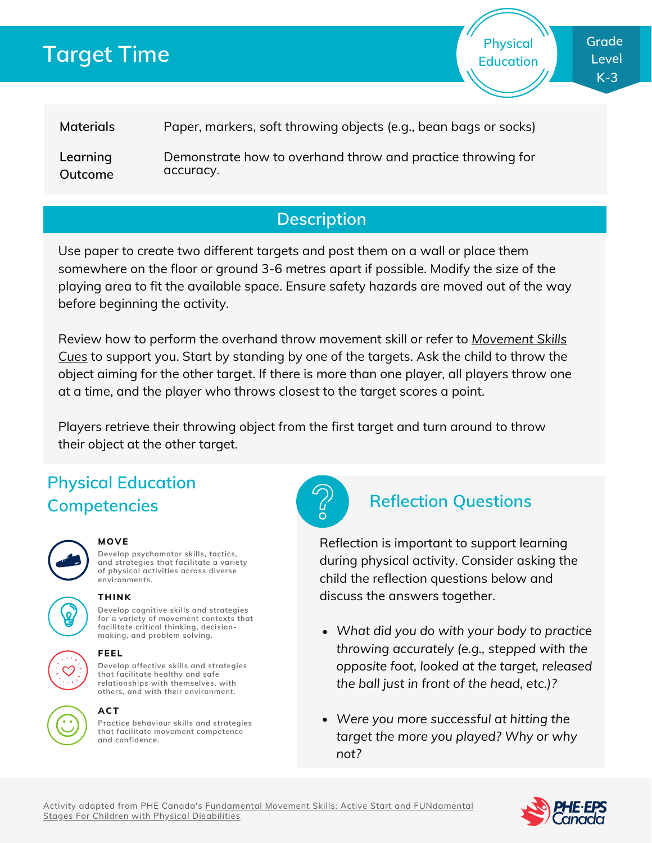# **Target Time**

**Physical Education**

**Materials** Paper, markers, soft throwing objects (e.g., bean bags or socks)

**Learning Outcome** Demonstrate how to overhand throw and practice throwing for accuracy.

### **Description**

Use paper to create two different targets and post them on a wall or place them somewhere on the floor or ground 3-6 metres apart if possible. Modify the size of the playing area to fit the available space. Ensure safety hazards are moved out of the way before beginning the activity.

Review how to perform the overhand throw [movement](http://phecanada.ca/movementskillscues) skill or refer to *Movement Skills Cues* to support you. Start by standing by one of the targets. Ask the child to throw the object aiming for the other target. If there is more than one player, all players throw one at a time, and the player who throws closest to the target scores a point.

Players retrieve their throwing object from the first target and turn around to throw their object at the other target.

## **Physical Education Competencies Reflection Questions**



### **MOVE**

**Develop psychomotor skills, tactics, and strategies that facilitate a variety of physical activities across diverse environments.**



#### **THINK**

**Develop cognitive skills and strategies for a variety of movement contexts that facilitate critical thinking, decision making, and problem solving.**



#### **Develop affective skills and strategies FEEL**

**that facilitate healthy and safe relationships with themselves, with others, and with their environment.**



#### **ACT**

**Practice behaviour skills and strategies that facilitate movement competence and confidence.**



Reflection is important to support learning during physical activity. Consider asking the child the reflection questions below and discuss the answers together.

- *What did you do with your body to practice throwing accurately (e.g., stepped with the opposite foot, looked at the target, released the ball just in front of the head, etc.)?*
- *Were you more successful at hitting the target the more you played? Why or why not?*